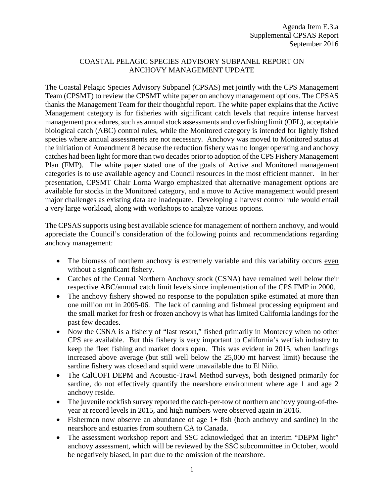## COASTAL PELAGIC SPECIES ADVISORY SUBPANEL REPORT ON ANCHOVY MANAGEMENT UPDATE

The Coastal Pelagic Species Advisory Subpanel (CPSAS) met jointly with the CPS Management Team (CPSMT) to review the CPSMT white paper on anchovy management options. The CPSAS thanks the Management Team for their thoughtful report. The white paper explains that the Active Management category is for fisheries with significant catch levels that require intense harvest management procedures, such as annual stock assessments and overfishing limit (OFL), acceptable biological catch (ABC) control rules, while the Monitored category is intended for lightly fished species where annual assessments are not necessary. Anchovy was moved to Monitored status at the initiation of Amendment 8 because the reduction fishery was no longer operating and anchovy catches had been light for more than two decades prior to adoption of the CPS Fishery Management Plan (FMP). The white paper stated one of the goals of Active and Monitored management categories is to use available agency and Council resources in the most efficient manner. In her presentation, CPSMT Chair Lorna Wargo emphasized that alternative management options are available for stocks in the Monitored category, and a move to Active management would present major challenges as existing data are inadequate. Developing a harvest control rule would entail a very large workload, along with workshops to analyze various options.

The CPSAS supports using best available science for management of northern anchovy, and would appreciate the Council's consideration of the following points and recommendations regarding anchovy management:

- The biomass of northern anchovy is extremely variable and this variability occurs even without a significant fishery.
- Catches of the Central Northern Anchovy stock (CSNA) have remained well below their respective ABC/annual catch limit levels since implementation of the CPS FMP in 2000.
- The anchovy fishery showed no response to the population spike estimated at more than one million mt in 2005-06. The lack of canning and fishmeal processing equipment and the small market for fresh or frozen anchovy is what has limited California landings for the past few decades.
- Now the CSNA is a fishery of "last resort," fished primarily in Monterey when no other CPS are available. But this fishery is very important to California's wetfish industry to keep the fleet fishing and market doors open. This was evident in 2015, when landings increased above average (but still well below the 25,000 mt harvest limit) because the sardine fishery was closed and squid were unavailable due to El Niño.
- The CalCOFI DEPM and Acoustic-Trawl Method surveys, both designed primarily for sardine, do not effectively quantify the nearshore environment where age 1 and age 2 anchovy reside.
- The juvenile rockfish survey reported the catch-per-tow of northern anchovy young-of-theyear at record levels in 2015, and high numbers were observed again in 2016.
- Fishermen now observe an abundance of age  $1+$  fish (both anchovy and sardine) in the nearshore and estuaries from southern CA to Canada.
- The assessment workshop report and SSC acknowledged that an interim "DEPM light" anchovy assessment, which will be reviewed by the SSC subcommittee in October, would be negatively biased, in part due to the omission of the nearshore.